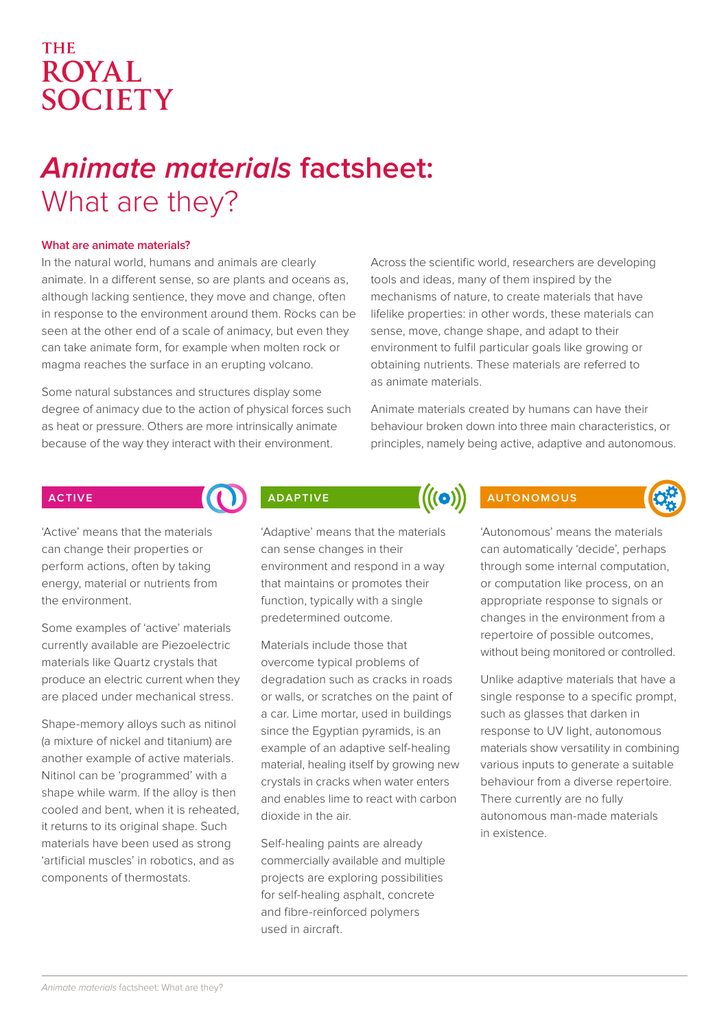## **THE ROYAL** SOCIETY

# **Animate materials factsheet:** What are they?

## **What are animate materials?**

In the natural world, humans and animals are clearly animate. In a different sense, so are plants and oceans as, although lacking sentience, they move and change, often in response to the environment around them. Rocks can be seen at the other end of a scale of animacy, but even they can take animate form, for example when molten rock or magma reaches the surface in an erupting volcano.

Some natural substances and structures display some degree of animacy due to the action of physical forces such as heat or pressure. Others are more intrinsically animate because of the way they interact with their environment.

Across the scientific world, researchers are developing tools and ideas, many of them inspired by the mechanisms of nature, to create materials that have lifelike properties: in other words, these materials can sense, move, change shape, and adapt to their environment to fulfil particular goals like growing or obtaining nutrients. These materials are referred to as animate materials.

Animate materials created by humans can have their behaviour broken down into three main characteristics, or principles, namely being active, adaptive and autonomous.

## **ACTIVE**

'Active' means that the materials can change their properties or perform actions, often by taking energy, material or nutrients from the environment.

Some examples of 'active' materials currently available are Piezoelectric materials like Quartz crystals that produce an electric current when they are placed under mechanical stress.

Shape-memory alloys such as nitinol (a mixture of nickel and titanium) are another example of active materials. Nitinol can be 'programmed' with a shape while warm. If the alloy is then cooled and bent, when it is reheated, it returns to its original shape. Such materials have been used as strong 'artificial muscles' in robotics, and as components of thermostats.

## **ADAPTIVE**

'Adaptive' means that the materials can sense changes in their environment and respond in a way that maintains or promotes their function, typically with a single predetermined outcome.

Materials include those that overcome typical problems of degradation such as cracks in roads or walls, or scratches on the paint of a car. Lime mortar, used in buildings since the Egyptian pyramids, is an example of an adaptive self-healing material, healing itself by growing new crystals in cracks when water enters and enables lime to react with carbon dioxide in the air.

Self-healing paints are already commercially available and multiple projects are exploring possibilities for self-healing asphalt, concrete and fibre-reinforced polymers used in aircraft.

## **AUTONOMOUS**

 $\bigl((\mathbf{o})\bigr)$ 

'Autonomous' means the materials can automatically 'decide', perhaps through some internal computation, or computation like process, on an appropriate response to signals or changes in the environment from a repertoire of possible outcomes, without being monitored or controlled.

Unlike adaptive materials that have a single response to a specific prompt, such as glasses that darken in response to UV light, autonomous materials show versatility in combining various inputs to generate a suitable behaviour from a diverse repertoire. There currently are no fully autonomous man-made materials in existence.